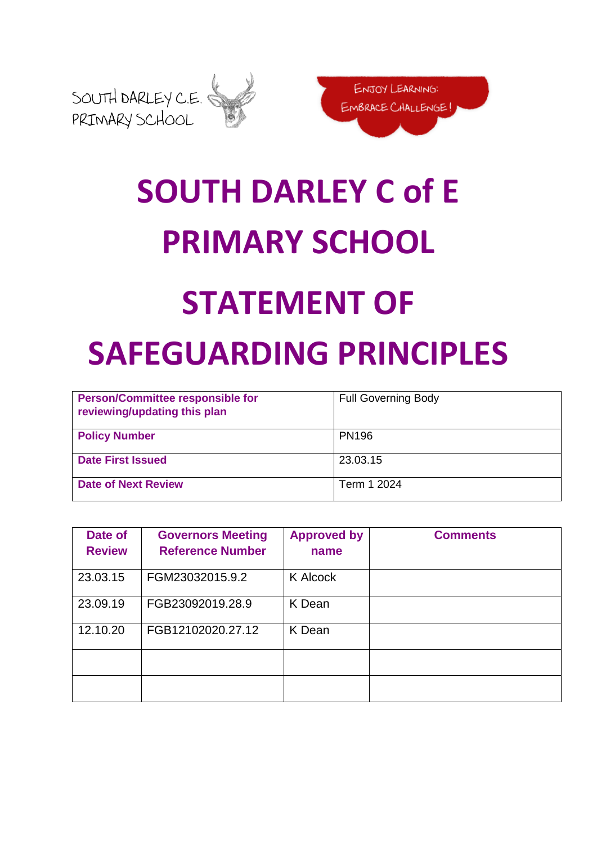



## **SOUTH DARLEY C of E PRIMARY SCHOOL**

## **STATEMENT OF SAFEGUARDING PRINCIPLES**

| <b>Person/Committee responsible for</b><br>reviewing/updating this plan | <b>Full Governing Body</b> |
|-------------------------------------------------------------------------|----------------------------|
| <b>Policy Number</b>                                                    | <b>PN196</b>               |
| <b>Date First Issued</b>                                                | 23.03.15                   |
| <b>Date of Next Review</b>                                              | Term 1 2024                |

| Date of<br><b>Review</b> | <b>Governors Meeting</b><br><b>Reference Number</b> | <b>Approved by</b><br>name | <b>Comments</b> |
|--------------------------|-----------------------------------------------------|----------------------------|-----------------|
| 23.03.15                 | FGM23032015.9.2                                     | <b>K Alcock</b>            |                 |
| 23.09.19                 | FGB23092019.28.9                                    | K Dean                     |                 |
| 12.10.20                 | FGB12102020.27.12                                   | K Dean                     |                 |
|                          |                                                     |                            |                 |
|                          |                                                     |                            |                 |